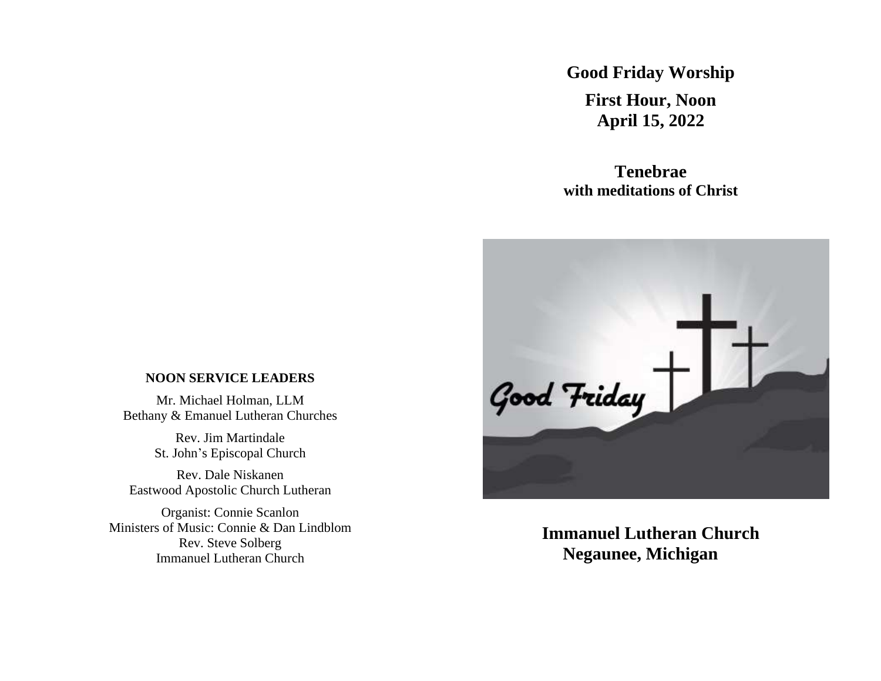**Good Friday Worship First Hour, Noon April 15, 2022**

**Tenebrae with meditations of Christ**



**Immanuel Lutheran Church Negaunee, Michigan**

## **NOON SERVICE LEADERS**

Mr. Michael Holman, LLM Bethany & Emanuel Lutheran Churches

> Rev. Jim Martindale St. John's Episcopal Church

Rev. Dale Niskanen Eastwood Apostolic Church Lutheran

Organist: Connie Scanlon Ministers of Music: Connie & Dan Lindblom Rev. Steve Solberg Immanuel Lutheran Church